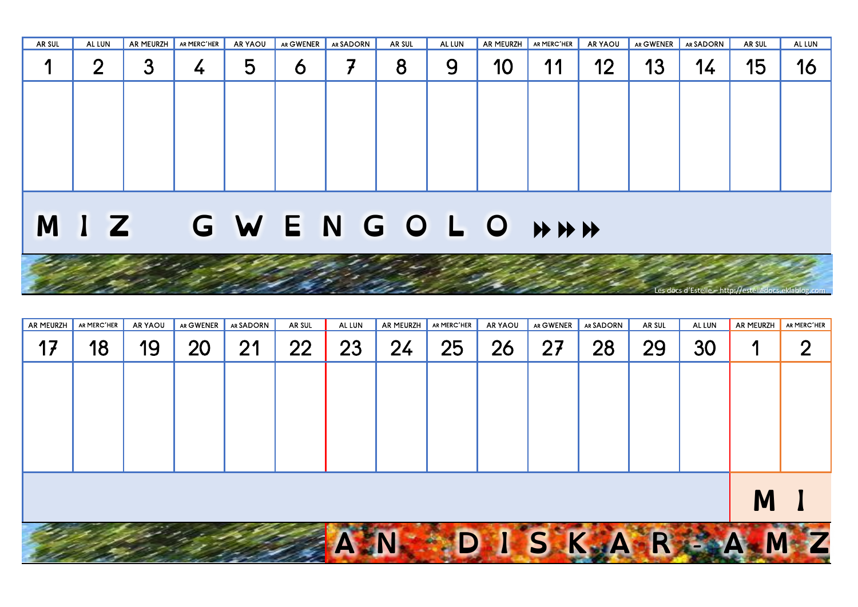| AR SUL | AL LUN | AR MEURZH | AR MERC'HER | AR YAOU     | AR GWENER | AR SADORN | <b>AR SUL</b> | AL LUN | AR MEURZH | AR MERC'HER | AR YAOU | AR GWENER | AR SADORN             | AR SUL | <b>AL LUN</b>         |
|--------|--------|-----------|-------------|-------------|-----------|-----------|---------------|--------|-----------|-------------|---------|-----------|-----------------------|--------|-----------------------|
|        | ∩      | Ω<br>ີ    |             | -<br>ь<br>J | U         |           | o<br>O        | 9      | 10        | <b>A</b> A  | 12      | 1 Q<br>IJ | 47<br>$\overline{14}$ | 15     | Z<br>$\sqrt{ }$<br>ΊΟ |
|        |        |           |             |             |           |           |               |        |           |             |         |           |                       |        |                       |
|        |        |           |             |             |           |           |               |        |           |             |         |           |                       |        |                       |
|        |        |           |             |             |           |           |               |        |           |             |         |           |                       |        |                       |
|        |        |           |             |             |           |           |               |        |           |             |         |           |                       |        |                       |

# **M I Z G W E N G O L O**

| AR MEURZH | AR MERC'HER | <b>AR YAOU</b> | AR GWENER | AR SADORN | AR SUL | AL LUN | AR MEURZH | AR MERC'HER | <b>AR YAOU</b> | AR GWENER | AR SADORN | AR SUL | AL LUN | AR MEURZH | AR MERC'HER    |
|-----------|-------------|----------------|-----------|-----------|--------|--------|-----------|-------------|----------------|-----------|-----------|--------|--------|-----------|----------------|
| 17        | 18          | 19             | 20        | 21        | 22     | 23     | 24        | 25          | 26             | 27        | 28        | 29     | 30     |           | $\overline{2}$ |
|           |             |                |           |           |        |        |           |             |                |           |           |        |        |           |                |
|           |             |                |           |           |        |        |           |             |                |           |           |        |        |           |                |
|           |             |                |           |           |        |        |           |             |                |           |           |        |        |           |                |
|           |             |                |           |           |        |        |           |             |                |           |           |        |        |           |                |
|           |             |                |           |           |        |        |           |             |                |           |           |        |        |           |                |
|           |             |                |           |           |        |        |           |             |                |           |           |        |        |           |                |
|           |             |                |           |           |        |        |           |             |                |           |           |        |        | M         |                |
|           |             |                |           |           |        |        |           |             |                |           |           |        |        |           |                |
|           |             |                |           |           |        |        |           |             |                | S K A     |           | Ш      |        |           | A              |

Les docs d'Estelle – http://estelledocs.eklablog.com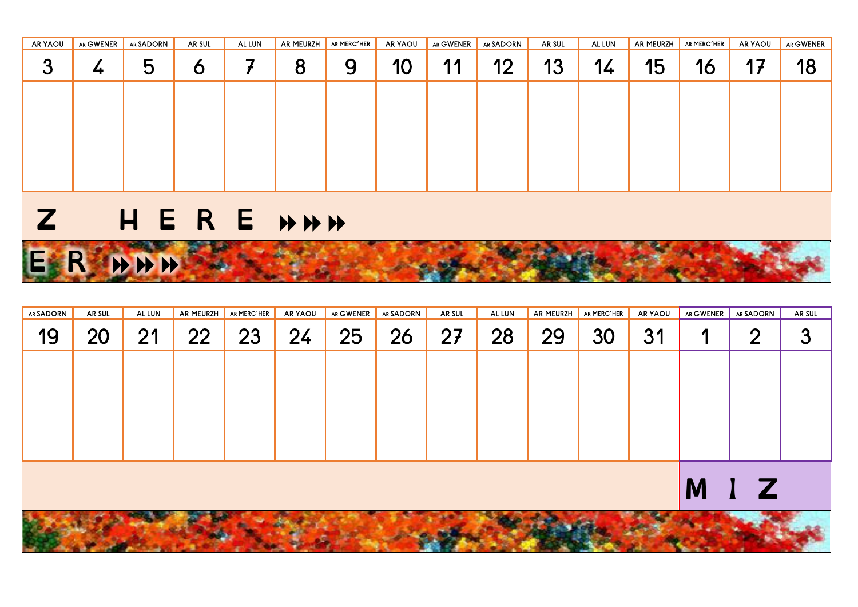| AR YAOU | AR GWENER AR SADORN | AR SUL | AL LUN |   | AR MEURZH AR MERC'HER | AR YAOU |    | ARGWENER ARSADORN | AR SUL | AL LUN |    | AR MEURZH   AR MERC'HER | AR YAOU | AR GWENER |
|---------|---------------------|--------|--------|---|-----------------------|---------|----|-------------------|--------|--------|----|-------------------------|---------|-----------|
| ŋ<br>◡  | C                   | Ô      |        | O | 9                     | 10      | 11 | 12                | 13     | 14     | 15 | 16                      | 17      | 18        |
|         |                     |        |        |   |                       |         |    |                   |        |        |    |                         |         |           |
|         |                     |        |        |   |                       |         |    |                   |        |        |    |                         |         |           |
|         |                     |        |        |   |                       |         |    |                   |        |        |    |                         |         |           |
|         |                     |        |        |   |                       |         |    |                   |        |        |    |                         |         |           |

#### **Z H E R E**

**E R**

# ARSADORN AR SUL AL LUN AR MEURZH AR MERC'HER AR YAOU AR GWENER AR SADORN AR SUL AL LUN AR MEURZH AR MERC'HER AR YAOU AR GWENER AR SADORN AR SUL 19 20 21 22 23 24 25 26 27 28 29 30 31 1 2 3 **M I Z**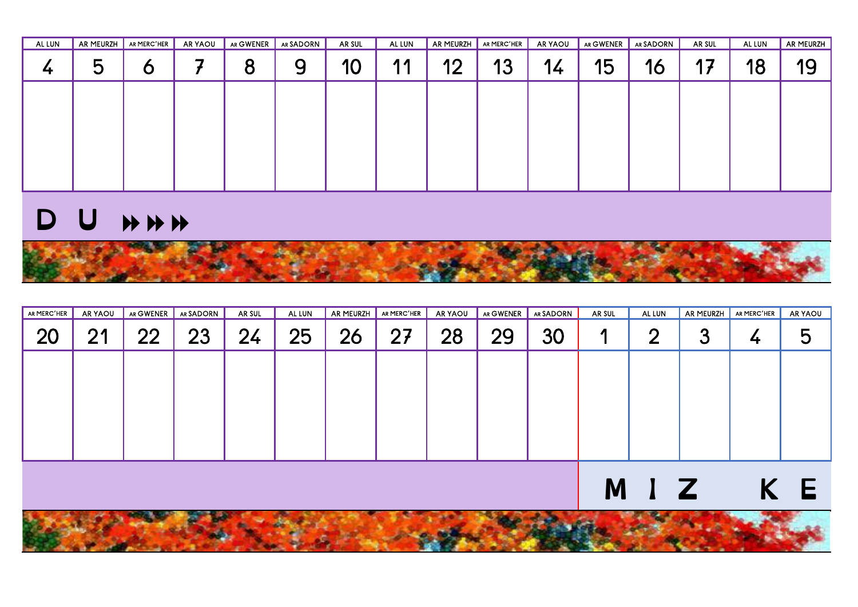| <b>AL LUN</b> |         | AR MEURZH   AR MERC'HER | AR YAOU | AR GWENER | AR SADORN | AR SUL | <b>AL LUN</b> | AR MEURZH | AR MERC'HER | AR YAOU |    | AR GWENER AR SADORN | AR SUL | AL LUN | AR MEURZH |
|---------------|---------|-------------------------|---------|-----------|-----------|--------|---------------|-----------|-------------|---------|----|---------------------|--------|--------|-----------|
|               | Б,<br>ل | Ò                       |         | O<br>O    | 9         | 10     | <u>л Л</u>    | 12        | 13          | 14      | 15 | 16                  | 1 7    | 18     | 19        |
|               |         |                         |         |           |           |        |               |           |             |         |    |                     |        |        |           |
|               |         |                         |         |           |           |        |               |           |             |         |    |                     |        |        |           |
|               |         |                         |         |           |           |        |               |           |             |         |    |                     |        |        |           |
|               |         |                         |         |           |           |        |               |           |             |         |    |                     |        |        |           |

## **D U**

ъ.

| AR MERC'HER | AR YAOU | AR GWENER | AR SADORN | AR SUL | AL LUN | AR MEURZH | AR MERC'HER | <b>AR YAOU</b> | AR GWENER | AR SADORN | AR SUL | AL LUN         | AR MEURZH | AR MERC'HER | AR YAOU |
|-------------|---------|-----------|-----------|--------|--------|-----------|-------------|----------------|-----------|-----------|--------|----------------|-----------|-------------|---------|
| 20          | 21      | 22        | 23        | 24     | 25     | 26        | 27          | 28             | 29        | 30        | л      | $\overline{2}$ | פ         |             | 5       |
|             |         |           |           |        |        |           |             |                |           |           |        |                |           |             |         |
|             |         |           |           |        |        |           |             |                |           |           |        |                |           |             |         |
|             |         |           |           |        |        |           |             |                |           |           |        |                |           |             |         |
|             |         |           |           |        |        |           |             |                |           |           |        |                |           |             |         |
|             |         |           |           |        |        |           |             |                |           |           |        |                |           | MIZ KE      |         |
|             |         |           |           |        |        |           |             |                |           |           |        |                |           |             |         |

- 6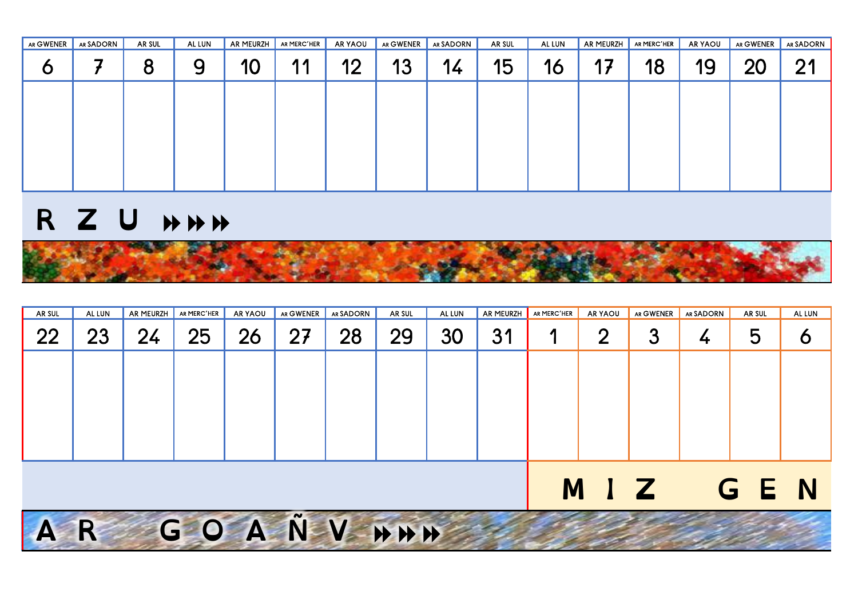| AR GWENER | AR SADORN | AR SUL | AL LUN | AR MEURZH | AR MERC'HER | AR YAOU | AR GWENER             | AR SADORN | AR SUL | <b>AL LUN</b> | AR MEURZH | AR MERC'HER | AR YAOU | AR GWENER | AR SADORN |
|-----------|-----------|--------|--------|-----------|-------------|---------|-----------------------|-----------|--------|---------------|-----------|-------------|---------|-----------|-----------|
|           |           | O      | 9      | 10        | <b>11</b>   | 12      | $\overline{12}$<br>IJ | 14        | 15     | 16            | 17        | 18          | 19      | 20        | nΛ.       |
|           |           |        |        |           |             |         |                       |           |        |               |           |             |         |           |           |
|           |           |        |        |           |             |         |                       |           |        |               |           |             |         |           |           |
|           |           |        |        |           |             |         |                       |           |        |               |           |             |         |           |           |
|           |           |        |        |           |             |         |                       |           |        |               |           |             |         |           |           |

#### **R Z U**

| AR SUL | AL LUN | AR MEURZH | AR MERC'HER | <b>AR YAOU</b> | AR GWENER | AR SADORN | AR SUL | AL LUN | AR MEURZH | AR MERC'HER | AR YAOU  | AR GWENER | AR SADORN | AR SUL | AL LUN |
|--------|--------|-----------|-------------|----------------|-----------|-----------|--------|--------|-----------|-------------|----------|-----------|-----------|--------|--------|
| 22     | 23     | 24        | 25          | 26             | 27        | 28        | 29     | 30     | 31        | Л           | $\bf{2}$ | 3         |           | 5      |        |
|        |        |           |             |                |           |           |        |        |           |             |          |           |           |        |        |
|        |        |           |             |                |           |           |        |        |           |             |          |           |           |        |        |
|        |        |           |             |                |           |           |        |        |           |             |          |           |           |        |        |
|        |        |           |             |                |           |           |        |        |           |             |          |           |           |        |        |
|        |        |           |             |                |           |           |        |        |           |             |          |           |           |        |        |
|        |        |           |             |                |           |           |        |        |           |             |          | MIZ       |           | GEN    |        |
|        |        |           |             |                |           | GOANVHHH  |        |        |           |             |          |           |           |        |        |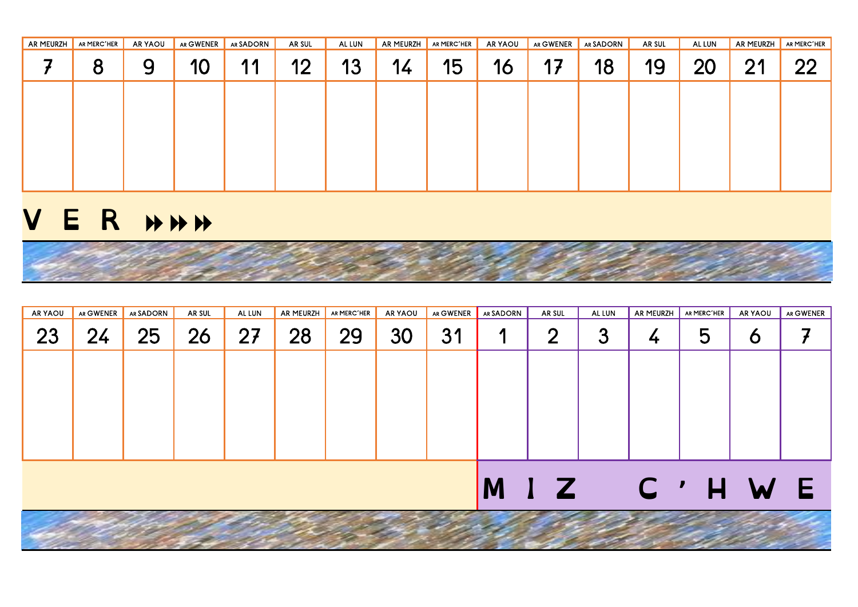| AR MEURZH AR MERC'HER |   |    | ARYAOU ARGWENER ARSADORN | AR SUL | <b>AL LUN</b> |    | AR MEURZH   AR MERC'HER | AR YAOU |    | ARGWENER ARSADORN | AR SUL | <b>AL LUN</b> |                | AR MEURZH   AR MERC'HER |
|-----------------------|---|----|--------------------------|--------|---------------|----|-------------------------|---------|----|-------------------|--------|---------------|----------------|-------------------------|
| U                     | 9 | 10 | <b>44</b>                | 12     | 13            | 14 | 15                      | 16      | 47 | 18                | 19     | 20            | 2 <sub>1</sub> | ററ                      |
|                       |   |    |                          |        |               |    |                         |         |    |                   |        |               |                |                         |
|                       |   |    |                          |        |               |    |                         |         |    |                   |        |               |                |                         |
|                       |   |    |                          |        |               |    |                         |         |    |                   |        |               |                |                         |
|                       |   |    |                          |        |               |    |                         |         |    |                   |        |               |                |                         |

### **V E R J**

| AR YAOU | AR GWENER | AR SADORN | AR SUL | <b>AL LUN</b> | AR MEURZH | AR MERC'HER | AR YAOU | AR GWENER | AR SADORN | AR SUL | AL LUN | AR MEURZH | AR MERC'HER | AR YAOU | AR GWENER |
|---------|-----------|-----------|--------|---------------|-----------|-------------|---------|-----------|-----------|--------|--------|-----------|-------------|---------|-----------|
| 23      | 24        | 25        | 26     | 27            | 28        | 29          | 30      | 31        | Л         | ာ      | 3      |           | 5           | Ò       |           |
|         |           |           |        |               |           |             |         |           |           |        |        |           |             |         |           |
|         |           |           |        |               |           |             |         |           |           |        |        |           |             |         |           |
|         |           |           |        |               |           |             |         |           |           |        |        |           |             |         |           |
|         |           |           |        |               |           |             |         |           |           |        |        |           |             |         |           |
|         |           |           |        |               |           |             |         |           |           |        |        |           |             |         |           |
|         |           |           |        |               |           |             |         |           | MIZ C'HWE |        |        |           |             |         |           |
|         |           |           |        |               |           |             |         |           |           |        |        |           |             |         |           |
|         |           |           |        |               |           |             |         |           |           |        |        |           |             |         |           |
|         |           |           |        |               |           |             |         |           |           |        |        |           |             |         |           |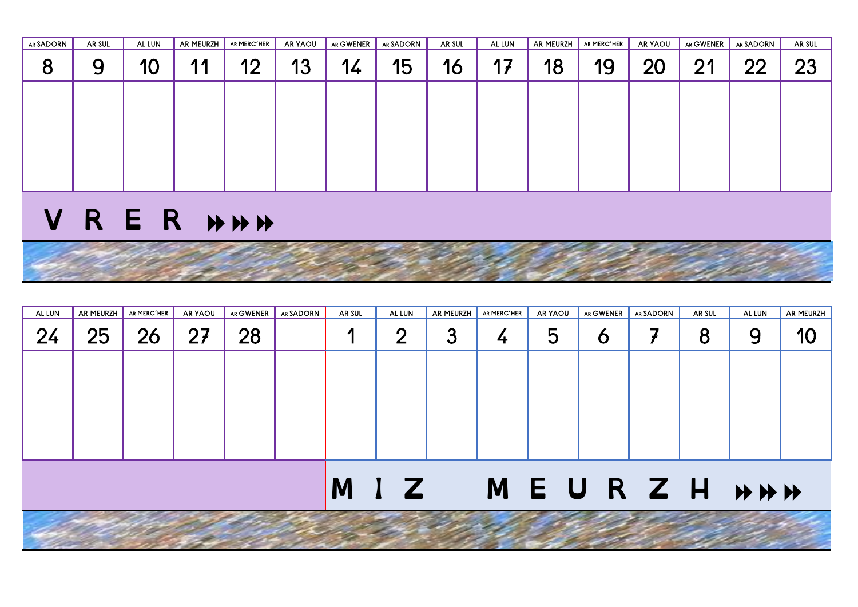| AR SADORN | <b>AR SUL</b> | AL LUN |           | AR MEURZH   AR MERC'HER | AR YAOU |    | ARGWENER ARSADORN | AR SUL | AL LUN           | AR MEURZH | AR MERC'HER | AR YAOU | AR GWENER | AR SADORN | AR SUL |
|-----------|---------------|--------|-----------|-------------------------|---------|----|-------------------|--------|------------------|-----------|-------------|---------|-----------|-----------|--------|
| O         | Q             | 10     | <b>11</b> | $\mathbf{\Omega}$       | 13      | 14 | 15                | 16     | 47<br><u>  J</u> | 18        | 19          | 20      | O1        | 22        | റാ     |
|           |               |        |           |                         |         |    |                   |        |                  |           |             |         |           |           |        |
|           |               |        |           |                         |         |    |                   |        |                  |           |             |         |           |           |        |
|           |               |        |           |                         |         |    |                   |        |                  |           |             |         |           |           |        |
|           |               |        |           |                         |         |    |                   |        |                  |           |             |         |           |           |        |

# **V R E R**

| AL LUN | AR MEURZH | AR MERC'HER | AR YAOU | AR GWENER | AR SADORN | AR SUL | <b>AL LUN</b>  | AR MEURZH | AR MERC'HER | <b>AR YAOU</b> | AR GWENER | AR SADORN      | AR SUL | AL LUN | AR MEURZH |
|--------|-----------|-------------|---------|-----------|-----------|--------|----------------|-----------|-------------|----------------|-----------|----------------|--------|--------|-----------|
| 24     | 25        | 26          | 27      | 28        |           |        | $\overline{2}$ | 3         |             | 5              | Ó         |                | 8      | 9      | 10        |
|        |           |             |         |           |           |        |                |           |             |                |           |                |        |        |           |
|        |           |             |         |           |           |        |                |           |             |                |           |                |        |        |           |
|        |           |             |         |           |           |        |                |           |             |                |           |                |        |        |           |
|        |           |             |         |           |           |        |                |           |             |                |           |                |        |        |           |
|        |           |             |         |           |           |        |                |           |             |                |           |                |        |        |           |
|        |           |             |         |           |           |        |                |           |             |                |           | MIZ MEURZH NNN |        |        |           |
|        |           |             |         |           |           |        |                |           |             |                |           |                |        |        |           |
|        |           |             |         |           |           |        |                |           |             |                |           |                |        |        |           |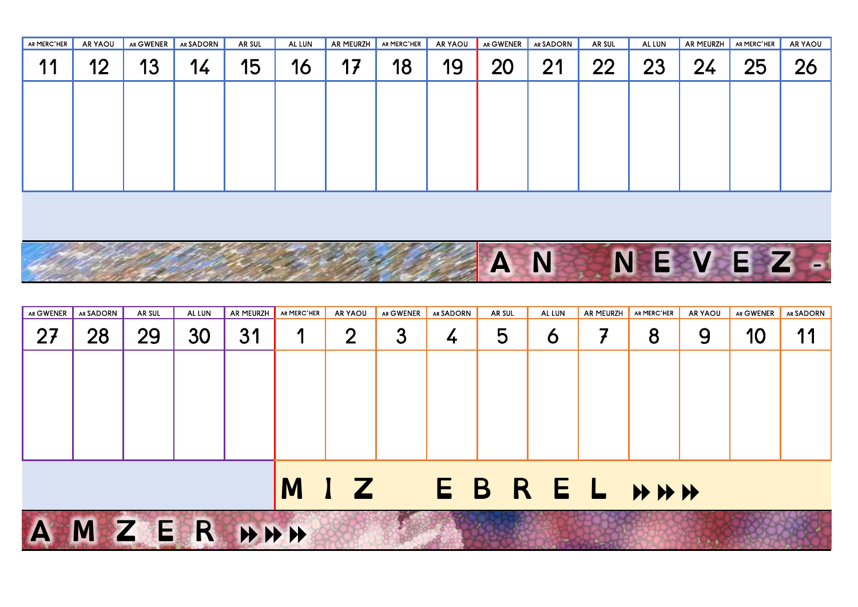| AR MERC'HER | AR YAOU | AR GWENER | AR SADORN | AR SUL | AL LUN | AR MEURZH | AR MERC'HER | AR YAOU | AR GWENER | AR SADORN | AR SUL | <b>AL LUN</b> | AR MEURZH | AR MERC'HER | AR YAOU |
|-------------|---------|-----------|-----------|--------|--------|-----------|-------------|---------|-----------|-----------|--------|---------------|-----------|-------------|---------|
| 11          | 12      | 13        | 14        | 15     | 16     | 17        | 18          | 19      | 20        | 21        | 22     | 23            | 24        | 25          | 26      |
|             |         |           |           |        |        |           |             |         |           |           |        |               |           |             |         |
|             |         |           |           |        |        |           |             |         |           |           |        |               |           |             |         |
|             |         |           |           |        |        |           |             |         |           |           |        |               |           |             |         |
|             |         |           |           |        |        |           |             |         |           |           |        |               |           |             |         |
|             |         |           |           |        |        |           |             |         |           |           |        |               |           |             |         |



**A** Z E R HHH

## **M I Z E B R E L**

**A N N E V E Z -**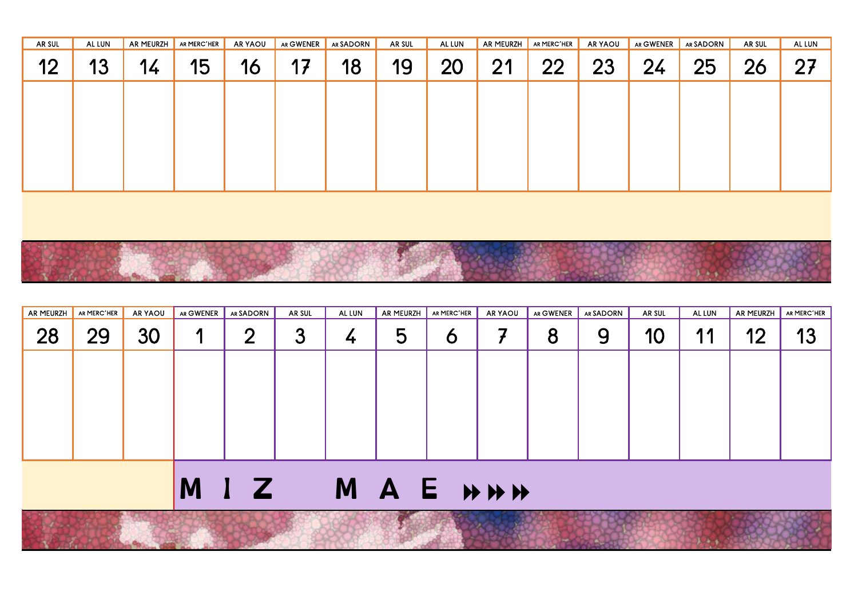| AR SUL | <b>AL LUN</b> | AR MEURZH | AR MERC'HER | AR YAOU |    | ARGWENER ARSADORN | <b>AR SUL</b> | AL LUN | AR MEURZH | AR MERC'HER | AR YAOU | AR GWENER | AR SADORN | AR SUL | AL LUN |
|--------|---------------|-----------|-------------|---------|----|-------------------|---------------|--------|-----------|-------------|---------|-----------|-----------|--------|--------|
| 12     | 13            | 14        | 15          | 16      | 17 | 18                | 19            | 20     | 21        | 22          | 23      | 24        | 25        | 26     | 27     |
|        |               |           |             |         |    |                   |               |        |           |             |         |           |           |        |        |
|        |               |           |             |         |    |                   |               |        |           |             |         |           |           |        |        |
|        |               |           |             |         |    |                   |               |        |           |             |         |           |           |        |        |
|        |               |           |             |         |    |                   |               |        |           |             |         |           |           |        |        |
|        |               |           |             |         |    |                   |               |        |           |             |         |           |           |        |        |



|    | AR MEURZH AR MERC'HER | AR YAOU | AR GWENER | AR SADORN     | AR SUL | AL LUN | AR MEURZH | AR MERC'HER | AR YAOU | AR GWENER | AR SADORN | AR SUL | AL LUN | AR MEURZH | AR MERC'HER |
|----|-----------------------|---------|-----------|---------------|--------|--------|-----------|-------------|---------|-----------|-----------|--------|--------|-----------|-------------|
| 28 | 29                    | 30      | 1         | $\mathcal{D}$ | 3      | 4      | 5         | O           |         | 8         | 9         | 10     | 11     | 12        | 13          |
|    |                       |         |           |               |        |        |           |             |         |           |           |        |        |           |             |
|    |                       |         |           |               |        |        |           |             |         |           |           |        |        |           |             |
|    |                       |         |           |               |        |        |           |             |         |           |           |        |        |           |             |
|    |                       |         |           |               |        |        |           |             |         |           |           |        |        |           |             |
|    |                       |         |           |               |        |        |           |             |         |           |           |        |        |           |             |
|    |                       |         |           | MIZ MAE HHH   |        |        |           |             |         |           |           |        |        |           |             |
|    |                       |         |           |               |        |        |           |             |         |           |           |        |        |           |             |
|    |                       |         |           |               |        |        |           |             |         |           |           |        |        |           |             |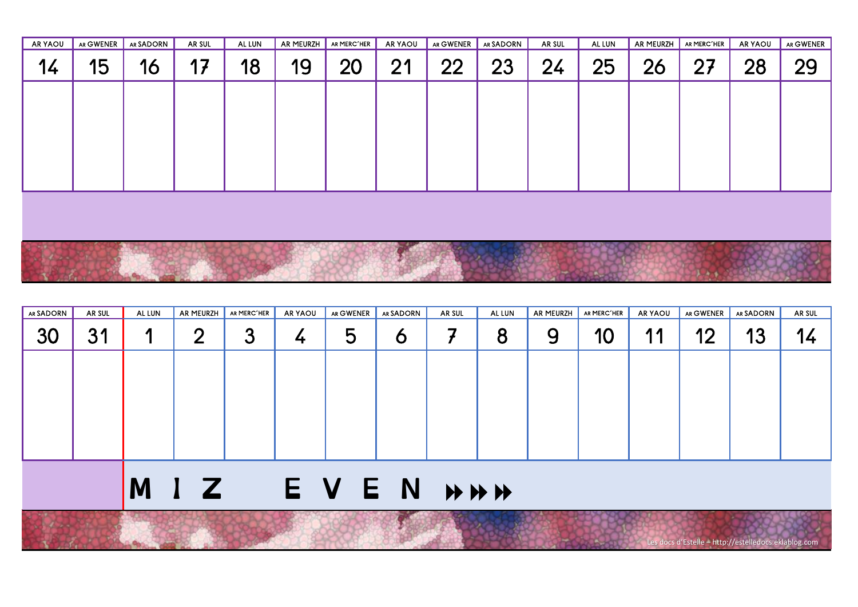| AR YAOU | AR GWENER AR SADORN |    | AR SUL | AL LUN | AR MEURZH | AR MERC'HER | AR YAOU | AR GWENER | AR SADORN | AR SUL | AL LUN | AR MEURZH | AR MERC'HER | AR YAOU | AR GWENER |
|---------|---------------------|----|--------|--------|-----------|-------------|---------|-----------|-----------|--------|--------|-----------|-------------|---------|-----------|
| 14      | 15                  | 16 | 17     | 18     | 19        | 20          | 21      | 22        | 23        | 24     | 25     | 26        | 27          | 28      | 29        |
|         |                     |    |        |        |           |             |         |           |           |        |        |           |             |         |           |
|         |                     |    |        |        |           |             |         |           |           |        |        |           |             |         |           |
|         |                     |    |        |        |           |             |         |           |           |        |        |           |             |         |           |
|         |                     |    |        |        |           |             |         |           |           |        |        |           |             |         |           |
|         |                     |    |        |        |           |             |         |           |           |        |        |           |             |         |           |
|         |                     |    |        |        |           |             |         |           |           |        |        |           |             |         |           |
|         |                     |    |        |        |           |             |         |           |           |        |        |           |             |         |           |
|         |                     |    |        |        |           |             |         |           |           |        |        |           |             |         |           |
|         |                     |    |        |        |           |             |         |           |           |        |        |           |             |         |           |

| AR SADORN | AR SUL | AL LUN | AR MEURZH      | AR MERC'HER | AR YAOU | AR GWENER | AR SADORN | AR SUL | AL LUN | AR MEURZH | AR MERC'HER | <b>AR YAOU</b> | AR GWENER | AR SADORN | AR SUL |
|-----------|--------|--------|----------------|-------------|---------|-----------|-----------|--------|--------|-----------|-------------|----------------|-----------|-----------|--------|
| 30        | 31     |        | $\overline{2}$ | 3           | 4       | 5         | Ó         |        | 8      | 9         | 10          | 11             | 12        | 13        | 14     |
|           |        |        |                |             |         |           |           |        |        |           |             |                |           |           |        |
|           |        |        |                |             |         |           |           |        |        |           |             |                |           |           |        |
|           |        |        |                |             |         |           |           |        |        |           |             |                |           |           |        |
|           |        |        |                |             |         |           |           |        |        |           |             |                |           |           |        |
|           |        |        |                |             |         |           |           |        |        |           |             |                |           |           |        |
|           |        | M      |                | IZ EVEN HHH |         |           |           |        |        |           |             |                |           |           |        |
|           |        |        |                |             |         |           |           |        |        |           |             |                |           |           |        |

docs d'Estelle – http://estelledocs.eklablog.com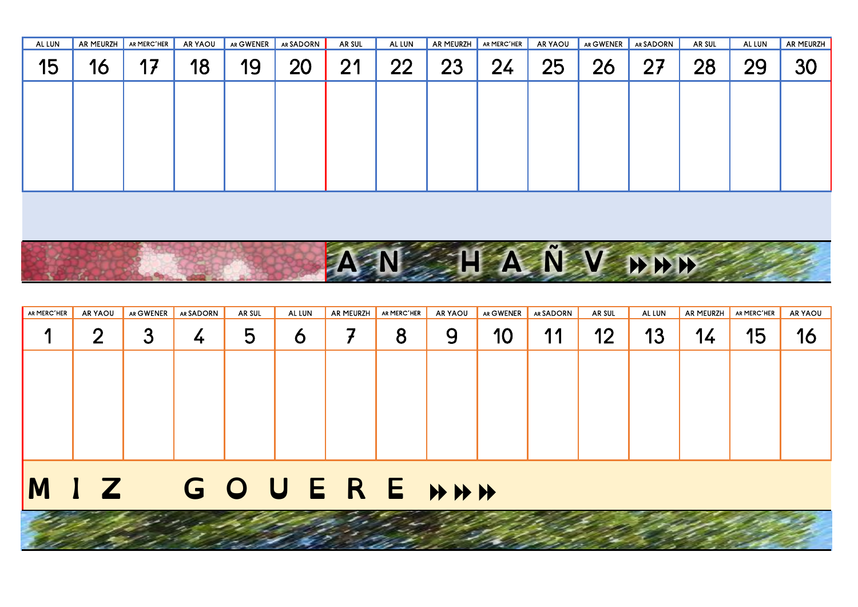| <b>AL LUN</b> | AR MEURZH | AR MERC'HER | AR YAOU | AR GWENER | AR SADORN | AR SUL | <b>AL LUN</b> | AR MEURZH | AR MERC'HER | AR YAOU | AR GWENER | AR SADORN | AR SUL | <b>AL LUN</b> | AR MEURZH |
|---------------|-----------|-------------|---------|-----------|-----------|--------|---------------|-----------|-------------|---------|-----------|-----------|--------|---------------|-----------|
| 15            | 16        | 17          | 18      | 19        | 20        | 21     | 22            | 23        | 24          | 25      | 26        | 27        | 28     | 29            | 30        |
|               |           |             |         |           |           |        |               |           |             |         |           |           |        |               |           |
|               |           |             |         |           |           |        |               |           |             |         |           |           |        |               |           |
|               |           |             |         |           |           |        |               |           |             |         |           |           |        |               |           |
|               |           |             |         |           |           |        |               |           |             |         |           |           |        |               |           |
|               |           |             |         |           |           |        |               |           |             |         |           |           |        |               |           |



| AR MERC'HER | AR YAOU | AR GWENER | AR SADORN | AR SUL | AL LUN | AR MEURZH | AR MERC'HER | AR YAOU | AR GWENER | AR SADORN    | AR SUL | AL LUN |    | AR MEURZH   AR MERC'HER | AR YAOU |
|-------------|---------|-----------|-----------|--------|--------|-----------|-------------|---------|-----------|--------------|--------|--------|----|-------------------------|---------|
|             | C       | C<br>U    |           | 5      | Ò      |           | О<br>Ő      | 9       | 10        | $\mathbf{A}$ | 12     | 13     | 14 | 15                      | 16      |
|             |         |           |           |        |        |           |             |         |           |              |        |        |    |                         |         |
|             |         |           |           |        |        |           |             |         |           |              |        |        |    |                         |         |
|             |         |           |           |        |        |           |             |         |           |              |        |        |    |                         |         |
|             |         |           |           |        |        |           |             |         |           |              |        |        |    |                         |         |

## **M I Z G O U E R E**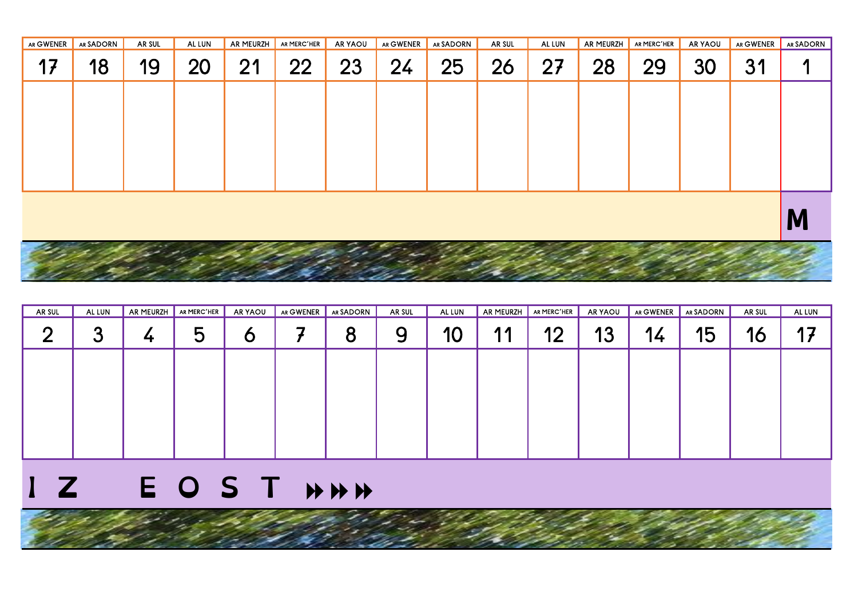| AR GWENER | AR SADORN | AR SUL | AL LUN | AR MEURZH | AR MERC'HER | AR YAOU | AR GWENER | AR SADORN | AR SUL | AL LUN | AR MEURZH | AR MERC'HER | <b>AR YAOU</b> |    | AR GWENER AR SADORN |
|-----------|-----------|--------|--------|-----------|-------------|---------|-----------|-----------|--------|--------|-----------|-------------|----------------|----|---------------------|
| 17        | 18        | 19     | 20     | 21        | 22          | 23      | 24        | 25        | 26     | 27     | 28        | 29          | 30             | 31 |                     |
|           |           |        |        |           |             |         |           |           |        |        |           |             |                |    |                     |
|           |           |        |        |           |             |         |           |           |        |        |           |             |                |    |                     |
|           |           |        |        |           |             |         |           |           |        |        |           |             |                |    |                     |
|           |           |        |        |           |             |         |           |           |        |        |           |             |                |    |                     |
|           |           |        |        |           |             |         |           |           |        |        |           |             |                |    |                     |
|           |           |        |        |           |             |         |           |           |        |        |           |             |                |    |                     |
|           |           |        |        |           |             |         |           |           |        |        |           |             |                |    |                     |
|           |           |        |        |           |             |         |           |           |        |        |           |             |                |    | M                   |
|           |           |        |        |           |             |         |           |           |        |        |           |             |                |    |                     |
|           |           |        |        |           |             |         |           |           |        |        |           |             |                |    |                     |

| AR SUL | <b>AL LUN</b> | AR MEURZH | AR MERC'HER | AR YAOU | AR GWENER | AR SADORN | <b>AR SUL</b> | AL LUN |           | AR MEURZH AR MERC'HER | AR YAOU |    | AR GWENER   AR SADORN | AR SUL | <b>AL LUN</b> |
|--------|---------------|-----------|-------------|---------|-----------|-----------|---------------|--------|-----------|-----------------------|---------|----|-----------------------|--------|---------------|
| n      | ∩<br>ັ        |           | 5           | $\cup$  |           | Ω<br>O    | 9             | 10     | <b>11</b> | 12                    | 13      | 14 | 15                    | 16     | 17            |
|        |               |           |             |         |           |           |               |        |           |                       |         |    |                       |        |               |
|        |               |           |             |         |           |           |               |        |           |                       |         |    |                       |        |               |
|        |               |           |             |         |           |           |               |        |           |                       |         |    |                       |        |               |
|        |               |           |             |         |           |           |               |        |           |                       |         |    |                       |        |               |

# **I Z E O S T**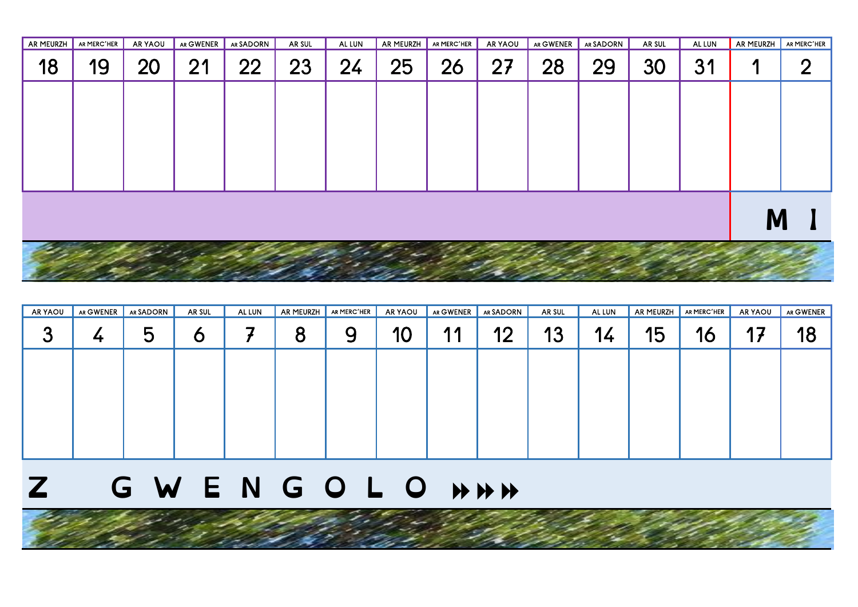|    | AR MEURZH   AR MERC'HER | AR YAOU | AR GWENER | AR SADORN | AR SUL | AL LUN |    | AR MEURZH   AR MERC'HER | AR YAOU | AR GWENER | AR SADORN | AR SUL | AL LUN | AR MEURZH | AR MERC'HER    |
|----|-------------------------|---------|-----------|-----------|--------|--------|----|-------------------------|---------|-----------|-----------|--------|--------|-----------|----------------|
| 18 | 19                      | 20      | 21        | 22        | 23     | 24     | 25 | 26                      | 27      | 28        | 29        | 30     | 31     |           | $\overline{2}$ |
|    |                         |         |           |           |        |        |    |                         |         |           |           |        |        |           |                |
|    |                         |         |           |           |        |        |    |                         |         |           |           |        |        |           |                |
|    |                         |         |           |           |        |        |    |                         |         |           |           |        |        |           |                |
|    |                         |         |           |           |        |        |    |                         |         |           |           |        |        |           |                |
|    |                         |         |           |           |        |        |    |                         |         |           |           |        |        |           |                |
|    |                         |         |           |           |        |        |    |                         |         |           |           |        |        |           |                |
|    |                         |         |           |           |        |        |    |                         |         |           |           |        |        |           |                |
|    |                         |         |           |           |        |        |    |                         |         |           |           |        |        | M         |                |
|    |                         |         |           |           |        |        |    |                         |         |           |           |        |        |           |                |
|    |                         |         |           |           |        |        |    |                         |         |           |           |        |        |           |                |

| AR YAOU  | AR GWENER | AR SADORN | AR SUL | <b>AL LUN</b> | AR MEURZH | AR MERC'HER | AR YAOU | AR GWENER       | AR SADORN | AR SUL | AL LUN | AR MEURZH | AR MERC'HER | AR YAOU | AR GWENER |
|----------|-----------|-----------|--------|---------------|-----------|-------------|---------|-----------------|-----------|--------|--------|-----------|-------------|---------|-----------|
| ∩<br>لنه | 4         | 5         | O      |               | О<br>O    | 9           | 10      | $\overline{11}$ | 12        | 13     | 14     | 15        | 16          | 17      | 18        |
|          |           |           |        |               |           |             |         |                 |           |        |        |           |             |         |           |
|          |           |           |        |               |           |             |         |                 |           |        |        |           |             |         |           |
|          |           |           |        |               |           |             |         |                 |           |        |        |           |             |         |           |
|          |           |           |        |               |           |             |         |                 |           |        |        |           |             |         |           |

#### **Z G W E N G O L O**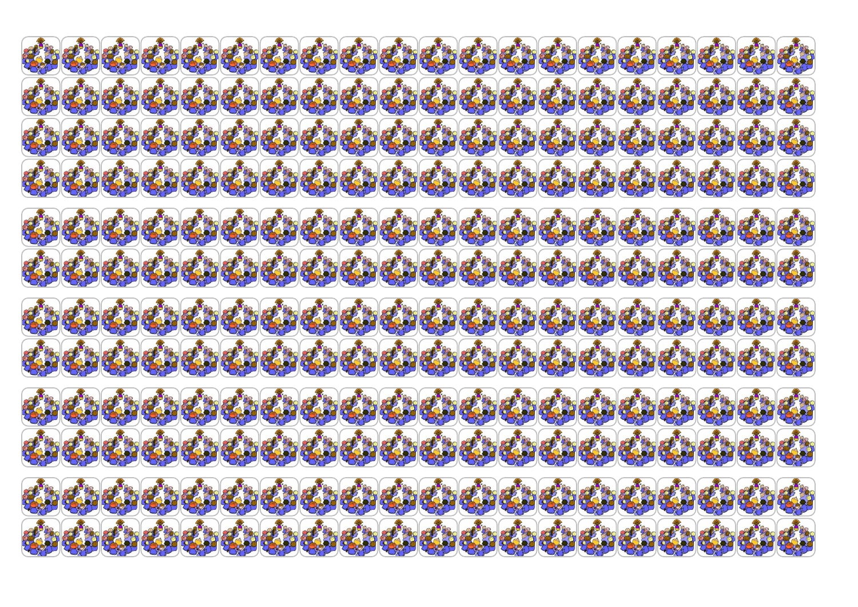